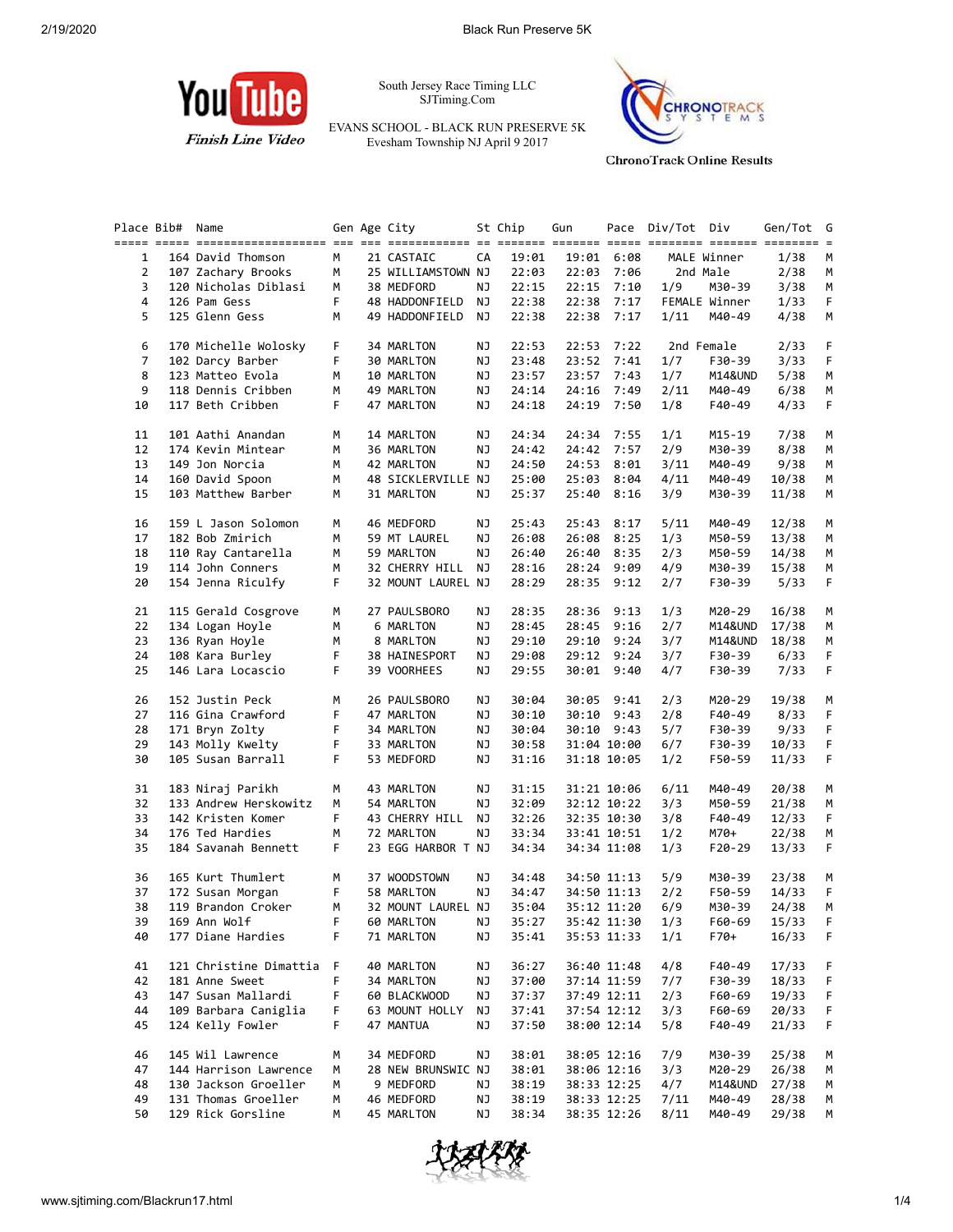

South Jersey Race Timing LLC SJTiming.Com

EVANS SCHOOL - BLACK RUN PRESERVE 5K Evesham Township NJ April 9 2017



**ChronoTrack Online Results** 

| Place Bib# | Name                   |    | Gen Age City       |    | St Chip | Gun   |             | Pace Div/Tot Div |               | Gen/Tot G |             |
|------------|------------------------|----|--------------------|----|---------|-------|-------------|------------------|---------------|-----------|-------------|
|            |                        |    |                    |    |         |       |             |                  |               |           |             |
| 1          | 164 David Thomson      | M  | 21 CASTAIC         | CA | 19:01   |       | 19:01 6:08  |                  | MALE Winner   | 1/38      | M           |
| 2          | 107 Zachary Brooks     | М  | 25 WILLIAMSTOWN NJ |    | 22:03   | 22:03 | 7:06        |                  | 2nd Male      | 2/38      | М           |
| 3          | 120 Nicholas Diblasi   | М  | 38 MEDFORD         | NJ | 22:15   | 22:15 | 7:10        | 1/9              | M30-39        | 3/38      | М           |
| 4          | 126 Pam Gess           | F. | 48 HADDONFIELD     | NJ | 22:38   | 22:38 | 7:17        |                  | FEMALE Winner | 1/33      | F           |
| 5          | 125 Glenn Gess         | М  | 49 HADDONFIELD     | NJ | 22:38   | 22:38 | 7:17        | 1/11             | M40-49        | 4/38      | M           |
|            |                        |    |                    |    |         |       |             |                  |               |           |             |
| 6          | 170 Michelle Wolosky   | F. | 34 MARLTON         | NJ | 22:53   |       | 22:53 7:22  |                  | 2nd Female    | 2/33      | F           |
| 7          | 102 Darcy Barber       | F  | 30 MARLTON         | ΝJ | 23:48   | 23:52 | 7:41        | 1/7              | F30-39        | 3/33      | F           |
| 8          | 123 Matteo Evola       | М  | 10 MARLTON         | ΝJ | 23:57   | 23:57 | 7:43        | 1/7              | M14&UND       | 5/38      | M           |
| 9          |                        |    |                    |    |         |       |             |                  |               |           |             |
|            | 118 Dennis Cribben     | M  | 49 MARLTON         | ΝJ | 24:14   | 24:16 | 7:49        | 2/11             | M40-49        | 6/38      | M           |
| 10         | 117 Beth Cribben       | F. | 47 MARLTON         | ΝJ | 24:18   |       | 24:19 7:50  | 1/8              | F40-49        | 4/33      | F           |
|            |                        |    |                    |    |         |       |             |                  |               |           |             |
| 11         | 101 Aathi Anandan      | М  | 14 MARLTON         | ΝJ | 24:34   | 24:34 | 7:55        | 1/1              | M15-19        | 7/38      | M           |
| 12         | 174 Kevin Mintear      | М  | 36 MARLTON         | ΝJ | 24:42   | 24:42 | 7:57        | 2/9              | M30-39        | 8/38      | M           |
| 13         | 149 Jon Norcia         | М  | 42 MARLTON         | ΝJ | 24:50   | 24:53 | 8:01        | 3/11             | M40-49        | 9/38      | М           |
| 14         | 160 David Spoon        | М  | 48 SICKLERVILLE NJ |    | 25:00   | 25:03 | 8:04        | 4/11             | M40-49        | 10/38     | М           |
| 15         | 103 Matthew Barber     | М  | 31 MARLTON         | ΝJ | 25:37   | 25:40 | 8:16        | 3/9              | M30-39        | 11/38     | М           |
|            |                        |    |                    |    |         |       |             |                  |               |           |             |
| 16         | 159 L Jason Solomon    | М  | 46 MEDFORD         | ΝJ | 25:43   | 25:43 | 8:17        | 5/11             | M40-49        | 12/38     | М           |
| 17         | 182 Bob Zmirich        | М  | 59 MT LAUREL       | ΝJ | 26:08   | 26:08 | 8:25        | 1/3              | M50-59        | 13/38     | М           |
| 18         | 110 Ray Cantarella     | M  | 59 MARLTON         | ΝJ | 26:40   | 26:40 | 8:35        | 2/3              | M50-59        | 14/38     | М           |
| 19         | 114 John Conners       | М  | 32 CHERRY HILL NJ  |    | 28:16   | 28:24 | 9:09        | 4/9              | M30-39        | 15/38     | M           |
| 20         | 154 Jenna Riculfy      | F. | 32 MOUNT LAUREL NJ |    | 28:29   |       | 28:35 9:12  | 2/7              | F30-39        | 5/33      | F           |
|            |                        |    |                    |    |         |       |             |                  |               |           |             |
| 21         | 115 Gerald Cosgrove    | М  | 27 PAULSBORO       | ΝJ | 28:35   | 28:36 | 9:13        | 1/3              | M20-29        | 16/38     | М           |
| 22         | 134 Logan Hoyle        | М  | 6 MARLTON          | ΝJ | 28:45   | 28:45 | 9:16        | 2/7              | M14&UND       | 17/38     | М           |
| 23         | 136 Ryan Hoyle         | М  | 8 MARLTON          | ΝJ | 29:10   | 29:10 | 9:24        | 3/7              | M14&UND       | 18/38     | М           |
| 24         | 108 Kara Burley        | F  | 38 HAINESPORT      | ΝJ | 29:08   |       | 29:12 9:24  | 3/7              | F30-39        | 6/33      | F           |
| 25         | 146 Lara Locascio      | F. | 39 VOORHEES        | ΝJ | 29:55   |       | 30:01 9:40  | 4/7              | F30-39        | 7/33      | F           |
|            |                        |    |                    |    |         |       |             |                  |               |           |             |
| 26         | 152 Justin Peck        | М  | 26 PAULSBORO       | NJ | 30:04   |       | 30:05 9:41  | 2/3              | M20-29        | 19/38     | M           |
| 27         |                        | F  |                    |    |         |       |             |                  |               |           |             |
|            | 116 Gina Crawford      |    | 47 MARLTON         | ΝJ | 30:10   | 30:10 | 9:43        | 2/8              | F40-49        | 8/33      | F           |
| 28         | 171 Bryn Zolty         | F. | 34 MARLTON         | NJ | 30:04   |       | 30:10 9:43  | 5/7              | F30-39        | 9/33      | F           |
| 29         | 143 Molly Kwelty       | F  | 33 MARLTON         | ΝJ | 30:58   |       | 31:04 10:00 | 6/7              | F30-39        | 10/33     | $\mathsf F$ |
| 30         | 105 Susan Barrall      | F. | 53 MEDFORD         | NJ | 31:16   |       | 31:18 10:05 | 1/2              | F50-59        | 11/33     | F           |
|            |                        |    |                    |    |         |       |             |                  |               |           |             |
| 31         | 183 Niraj Parikh       | М  | 43 MARLTON         | NJ | 31:15   |       | 31:21 10:06 | 6/11             | M40-49        | 20/38     | М           |
| 32         | 133 Andrew Herskowitz  | М  | 54 MARLTON         | ΝJ | 32:09   |       | 32:12 10:22 | 3/3              | M50-59        | 21/38     | M           |
| 33         | 142 Kristen Komer      | F. | 43 CHERRY HILL     | NJ | 32:26   |       | 32:35 10:30 | 3/8              | F40-49        | 12/33     | F.          |
| 34         | 176 Ted Hardies        | М  | 72 MARLTON         | NJ | 33:34   |       | 33:41 10:51 | 1/2              | M70+          | 22/38     | М           |
| 35         | 184 Savanah Bennett    | F  | 23 EGG HARBOR T NJ |    | 34:34   |       | 34:34 11:08 | 1/3              | F20-29        | 13/33     | F.          |
|            |                        |    |                    |    |         |       |             |                  |               |           |             |
| 36         | 165 Kurt Thumlert      | М  | 37 WOODSTOWN       | NJ | 34:48   |       | 34:50 11:13 | 5/9              | M30-39        | 23/38     | M           |
| 37         | 172 Susan Morgan       | F. | 58 MARLTON         | NJ | 34:47   |       | 34:50 11:13 | 2/2              | F50-59        | 14/33     | F.          |
| 38         | 119 Brandon Croker     | M  | 32 MOUNT LAUREL NJ |    | 35:04   |       | 35:12 11:20 | 6/9              | M30-39        | 24/38     | M           |
| 39         | 169 Ann Wolf           |    | F 60 MARLTON NJ    |    | 35:27   |       | 35:42 11:30 | 1/3              | F60-69        | 15/33 F   |             |
| 40         | 177 Diane Hardies      | F  | 71 MARLTON         | ΝJ | 35:41   |       | 35:53 11:33 | 1/1              | $F70+$        | 16/33     | F           |
|            |                        |    |                    |    |         |       |             |                  |               |           |             |
| 41         | 121 Christine Dimattia | F  | 40 MARLTON         | ΝJ | 36:27   |       | 36:40 11:48 | 4/8              | F40-49        | 17/33     | F           |
| 42         | 181 Anne Sweet         | F  | 34 MARLTON         | ΝJ | 37:00   |       | 37:14 11:59 | 7/7              | F30-39        | 18/33     | F           |
| 43         | 147 Susan Mallardi     | F  | 60 BLACKWOOD       | ΝJ | 37:37   |       | 37:49 12:11 | 2/3              | F60-69        | 19/33     | F           |
| 44         | 109 Barbara Caniglia   | F  | 63 MOUNT HOLLY     | ΝJ | 37:41   |       | 37:54 12:12 | 3/3              | F60-69        | 20/33     | F           |
| 45         | 124 Kelly Fowler       | F  | 47 MANTUA          | ΝJ | 37:50   |       | 38:00 12:14 | 5/8              | F40-49        | 21/33     | F           |
|            |                        |    |                    |    |         |       |             |                  |               |           |             |
| 46         | 145 Wil Lawrence       | М  | 34 MEDFORD         | ΝJ | 38:01   |       | 38:05 12:16 | 7/9              | M30-39        | 25/38     | M           |
| 47         | 144 Harrison Lawrence  | М  | 28 NEW BRUNSWIC NJ |    | 38:01   |       | 38:06 12:16 | 3/3              | M20-29        | 26/38     | M           |
| 48         | 130 Jackson Groeller   |    |                    |    |         |       |             |                  |               |           |             |
|            |                        | М  | 9 MEDFORD          | ΝJ | 38:19   |       | 38:33 12:25 | 4/7              | M14&UND       | 27/38     | M           |
| 49         | 131 Thomas Groeller    | м  | 46 MEDFORD         | ΝJ | 38:19   |       | 38:33 12:25 | 7/11             | M40-49        | 28/38     | M           |
| 50         | 129 Rick Gorsline      | М  | 45 MARLTON         | ΝJ | 38:34   |       | 38:35 12:26 | 8/11             | M40-49        | 29/38     | M           |
|            |                        |    |                    |    |         |       |             |                  |               |           |             |

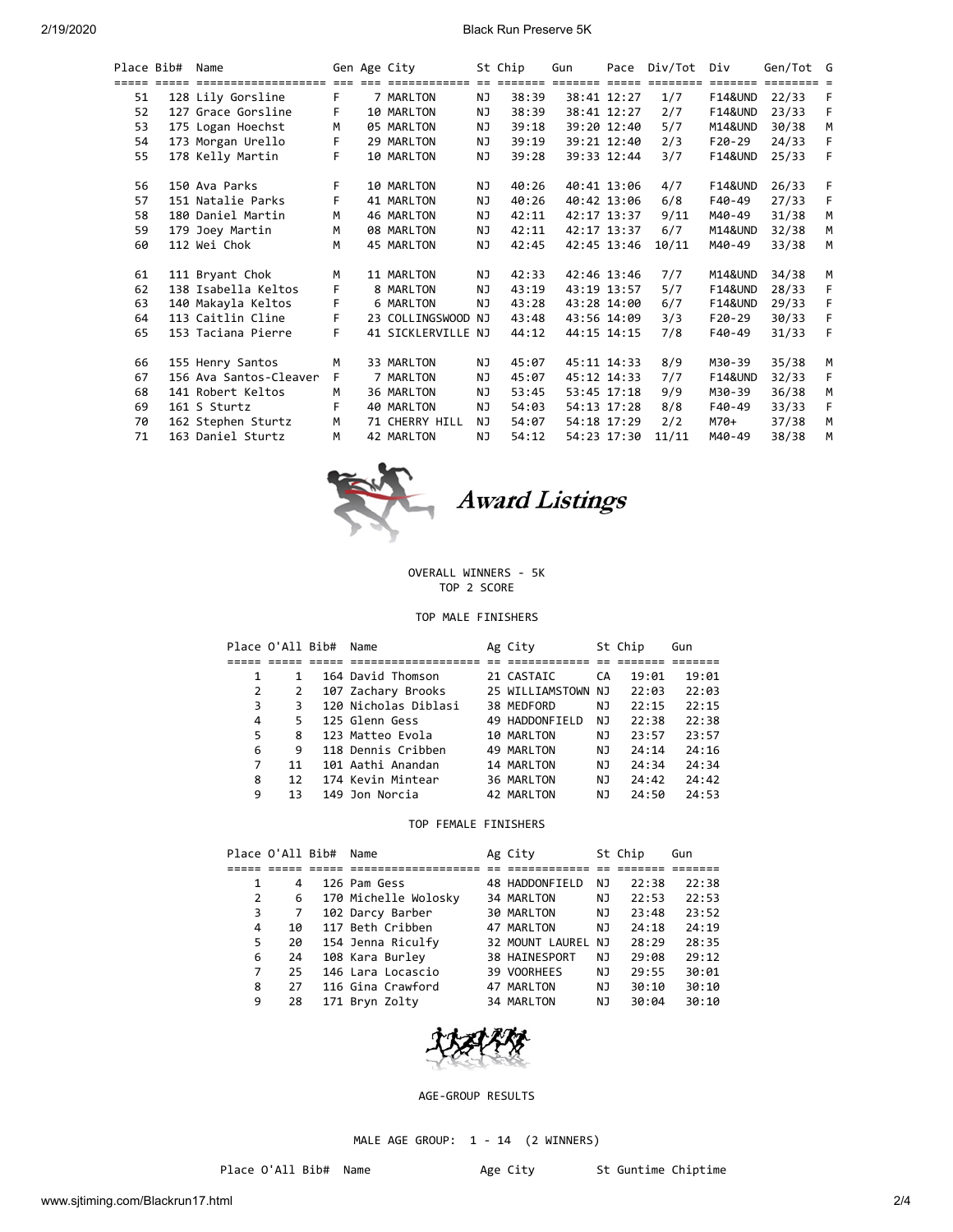### 2/19/2020 Black Run Preserve 5K

|    | Place Bib# | Name                   |    | Gen Age City       |           | St Chip | Gun |             | Pace Div/Tot | Div                | Gen/Tot G |    |
|----|------------|------------------------|----|--------------------|-----------|---------|-----|-------------|--------------|--------------------|-----------|----|
|    |            |                        |    |                    |           |         |     |             |              |                    |           |    |
| 51 |            | 128 Lily Gorsline      | F. | 7 MARLTON          | NJ        | 38:39   |     | 38:41 12:27 | 1/7          | <b>F14&amp;UND</b> | 22/33     | F  |
| 52 |            | 127 Grace Gorsline     | F  | 10 MARLTON         | NJ.       | 38:39   |     | 38:41 12:27 | 2/7          | <b>F14&amp;UND</b> | 23/33     | F  |
| 53 |            | 175 Logan Hoechst      | M  | 05 MARLTON         | NJ.       | 39:18   |     | 39:20 12:40 | 5/7          | M14&UND            | 30/38     | M  |
| 54 |            | 173 Morgan Urello      | F. | 29 MARLTON         | NJ        | 39:19   |     | 39:21 12:40 | 2/3          | F20-29             | 24/33     | F  |
| 55 |            | 178 Kelly Martin       | F. | 10 MARLTON         | NJ        | 39:28   |     | 39:33 12:44 | 3/7          | <b>F14&amp;UND</b> | 25/33     | F  |
| 56 |            | 150 Ava Parks          | F. | 10 MARLTON         | ΝJ        | 40:26   |     | 40:41 13:06 | 4/7          | <b>F14&amp;UND</b> | 26/33     | F  |
| 57 |            | 151 Natalie Parks      | F  | 41 MARLTON         | NJ.       | 40:26   |     | 40:42 13:06 | 6/8          | F40-49             | 27/33     | F  |
| 58 |            | 180 Daniel Martin      | M  | 46 MARLTON         | NJ.       | 42:11   |     | 42:17 13:37 | 9/11         | M40-49             | 31/38     | M  |
| 59 |            | 179 Joey Martin        | M  | 08 MARLTON         | NJ.       | 42:11   |     | 42:17 13:37 | 6/7          | M14&UND            | 32/38     | M  |
| 60 |            | 112 Wei Chok           | M  | 45 MARLTON         | NJ.       | 42:45   |     | 42:45 13:46 | 10/11        | M40-49             | 33/38     | M  |
| 61 |            | 111 Bryant Chok        | м  | 11 MARLTON         | NJ        | 42:33   |     | 42:46 13:46 | 7/7          | M14&UND            | 34/38     | M  |
| 62 |            | 138 Isabella Keltos    | F  | 8 MARLTON          | <b>NJ</b> | 43:19   |     | 43:19 13:57 | 5/7          | <b>F14&amp;UND</b> | 28/33     | F  |
| 63 |            | 140 Makayla Keltos     | F  | 6 MARLTON          | NJ        | 43:28   |     | 43:28 14:00 | 6/7          | <b>F14&amp;UND</b> | 29/33     | F  |
| 64 |            | 113 Caitlin Cline      | F. | 23 COLLINGSWOOD NJ |           | 43:48   |     | 43:56 14:09 | 3/3          | F20-29             | 30/33     | F  |
| 65 |            | 153 Taciana Pierre     | F. | 41 SICKLERVILLE NJ |           | 44:12   |     | 44:15 14:15 | 7/8          | F40-49             | 31/33     | F  |
| 66 |            | 155 Henry Santos       | M  | 33 MARLTON         | ΝJ        | 45:07   |     | 45:11 14:33 | 8/9          | M30-39             | 35/38     | M  |
| 67 |            | 156 Ava Santos-Cleaver | F. | 7 MARLTON          | NJ.       | 45:07   |     | 45:12 14:33 | 7/7          | <b>F14&amp;UND</b> | 32/33     | F. |
| 68 |            | 141 Robert Keltos      | M  | 36 MARLTON         | NJ        | 53:45   |     | 53:45 17:18 | 9/9          | M30-39             | 36/38     | M  |
| 69 |            | 161 S Sturtz           | F. | 40 MARLTON         | ΝJ        | 54:03   |     | 54:13 17:28 | 8/8          | F40-49             | 33/33     | F  |
| 70 |            | 162 Stephen Sturtz     | M  | 71 CHERRY HILL     | NJ.       | 54:07   |     | 54:18 17:29 | 2/2          | M70+               | 37/38     | M  |
| 71 |            | 163 Daniel Sturtz      | M  | 42 MARLTON         | NJ.       | 54:12   |     | 54:23 17:30 | 11/11        | M40-49             | 38/38     | M  |



Award Listings

### OVERALL WINNERS - 5K TOP 2 SCORE

# TOP MALE FINISHERS

|   | Place O'All Bib# | Name                 | Ag City            |     | St Chip | Gun   |
|---|------------------|----------------------|--------------------|-----|---------|-------|
|   |                  |                      |                    |     |         |       |
|   |                  | 164 David Thomson    | 21 CASTAIC         | СA  | 19:01   | 19:01 |
|   |                  | 107 Zachary Brooks   | 25 WILLIAMSTOWN NJ |     | 22:03   | 22:03 |
| 3 |                  | 120 Nicholas Diblasi | 38 MEDFORD         | ΝJ  | 22:15   | 22:15 |
| 4 | 5.               | 125 Glenn Gess       | 49 HADDONFIELD     | NJ. | 22:38   | 22:38 |
| 5 | 8                | 123 Matteo Evola     | 10 MARLTON         | ΝJ  | 23:57   | 23:57 |
| 6 | 9                | 118 Dennis Cribben   | 49 MARLTON         | NJ. | 24:14   | 24:16 |
| 7 | 11               | 101 Aathi Anandan    | 14 MARLTON         | ΝJ  | 24:34   | 24:34 |
| 8 | 12               | 174 Kevin Mintear    | 36 MARLTON         | ΝJ  | 24:42   | 24:42 |
| 9 | 13               | 149 Jon Norcia       | 42 MARLTON         | NJ. | 24:50   | 24:53 |

# TOP FEMALE FINISHERS

|    | Place O'All Bib# | Name                 | Ag City              |     | St Chip | Gun   |
|----|------------------|----------------------|----------------------|-----|---------|-------|
|    |                  |                      |                      |     |         |       |
|    | 4                | 126 Pam Gess         | 48 HADDONFIELD       | ΝJ  | 22:38   | 22:38 |
| 2  | 6                | 170 Michelle Wolosky | 34 MARLTON           | ΝJ  | 22:53   | 22:53 |
| 3  | 7                | 102 Darcy Barber     | <b>30 MARLTON</b>    | NJ. | 23:48   | 23:52 |
| 4  | 10               | 117 Beth Cribben     | 47 MARLTON           | ΝJ  | 24:18   | 24:19 |
| 5. | 20               | 154 Jenna Riculfy    | 32 MOUNT LAUREL NJ   |     | 28:29   | 28:35 |
| 6  | 24               | 108 Kara Burley      | <b>38 HAINESPORT</b> | NJ  | 29:08   | 29:12 |
|    | 25               | 146 Lara Locascio    | 39 VOORHEES          | ΝJ  | 29:55   | 30:01 |
| 8  | 27               | 116 Gina Crawford    | 47 MARLTON           | ΝJ  | 30:10   | 30:10 |
| 9  | 28               | 171 Bryn Zolty       | 34 MARLTON           | ΝJ  | 30:04   | 30:10 |



### AGE-GROUP RESULTS

MALE AGE GROUP: 1 - 14 (2 WINNERS)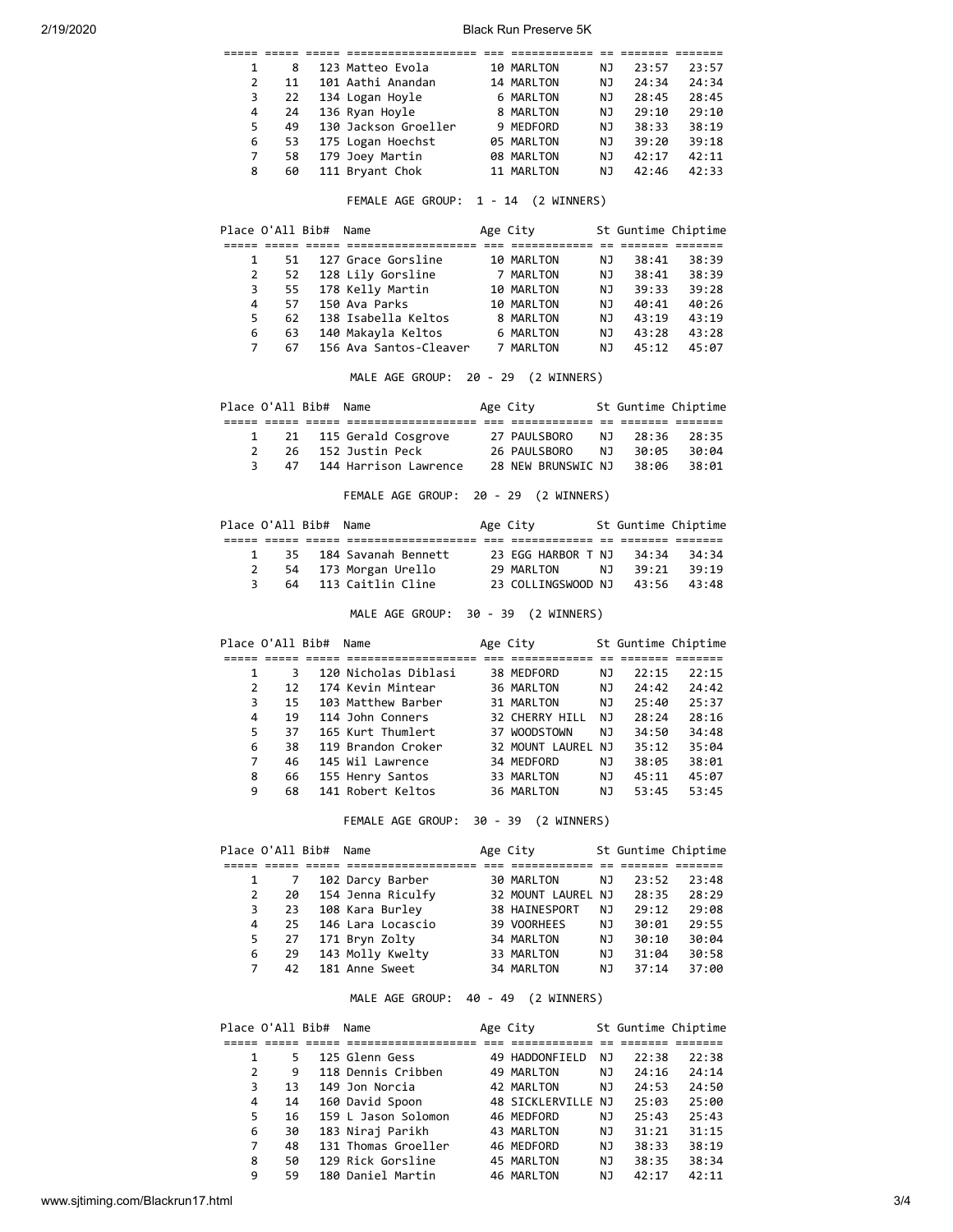| 2/19/2020 |                       |                         |                                                                           | <b>Black Run Preserve 5K</b> |      |                |                     |
|-----------|-----------------------|-------------------------|---------------------------------------------------------------------------|------------------------------|------|----------------|---------------------|
|           |                       |                         | soos oose coos oosessessessesses oo assessesses oo oosese oosese          |                              |      |                |                     |
|           | $\mathbf{1}$          | 8                       | 123 Matteo Evola                                                          | 10 MARLTON                   | NJ   | 23:57          | 23:57               |
|           | 2                     | 11                      | 101 Aathi Anandan                                                         | 14 MARLTON                   | ΝJ   | 24:34          | 24:34               |
|           | 3                     | 22                      | 134 Logan Hoyle                                                           | 6 MARLTON                    | ΝJ   | 28:45          | 28:45               |
|           | 4                     | 24                      | 136 Ryan Hoyle                                                            | 8 MARLTON                    | ΝJ   | 29:10          | 29:10               |
|           | 5                     | 49                      | 130 Jackson Groeller                                                      | 9 MEDFORD                    | ΝJ   | 38:33          | 38:19               |
|           | 6                     | 53                      | 175 Logan Hoechst                                                         | 05 MARLTON                   | ΝJ   | 39:20          | 39:18               |
|           | 7                     | 58                      | 179 Joey Martin                                                           | 08 MARLTON                   | ΝJ   | 42:17          | 42:11               |
|           | 8                     | 60                      | 111 Bryant Chok                                                           | 11 MARLTON                   | ΝJ   | 42:46          | 42:33               |
|           |                       |                         | FEMALE AGE GROUP: 1 - 14 (2 WINNERS)                                      |                              |      |                |                     |
|           | Place O'All Bib# Name |                         |                                                                           | Age City                     |      |                | St Guntime Chiptime |
|           |                       |                         |                                                                           |                              |      |                |                     |
|           | 1                     | 51                      | 127 Grace Gorsline                                                        | 10 MARLTON                   | ΝJ   | 38:41          | 38:39               |
|           | 2                     | 52                      | 128 Lily Gorsline                                                         | 7 MARLTON                    | NJ   | 38:41          | 38:39               |
|           | 3                     | 55                      | 178 Kelly Martin                                                          | 10 MARLTON                   | NJ   | 39:33          | 39:28               |
|           | 4                     | 57                      | 150 Ava Parks                                                             | 10 MARLTON                   | NJ   | 40:41          | 40:26               |
|           | 5                     | 62                      | 138 Isabella Keltos                                                       | 8 MARLTON                    | NJ   | 43:19          | 43:19               |
|           | 6                     | 63                      | 140 Makayla Keltos                                                        | 6 MARLTON                    | ΝJ   | 43:28          | 43:28               |
|           | $\overline{7}$        | 67                      | 156 Ava Santos-Cleaver 7 MARLTON                                          |                              | ΝJ   | 45:12          | 45:07               |
|           |                       |                         | MALE AGE GROUP: 20 - 29 (2 WINNERS)                                       |                              |      |                |                     |
|           | Place O'All Bib# Name |                         |                                                                           | Age City                     |      |                | St Guntime Chiptime |
|           |                       |                         |                                                                           |                              |      |                |                     |
|           | $\mathbf{1}$          | 21                      | 115 Gerald Cosgrove 27 PAULSBORO                                          |                              | ΝJ   | 28:36          | 28:35               |
|           | $\overline{2}$        | 26                      | 152 Justin Peck                                                           | 26 PAULSBORO                 | NJ   | 30:05          | 30:04               |
|           | 3                     | 47                      | 144 Harrison Lawrence 28 NEW BRUNSWIC NJ                                  |                              |      | 38:06          | 38:01               |
|           |                       |                         | FEMALE AGE GROUP: 20 - 29 (2 WINNERS)                                     |                              |      |                |                     |
|           | Place O'All Bib# Name |                         |                                                                           | Age City                     |      |                | St Guntime Chiptime |
|           | 1                     | 35                      |                                                                           |                              |      | 34:34          | 34:34               |
|           | $\overline{2}$        | 54                      | 184 Savanah Bennett 23 EGG HARBOR T NJ<br>173 Morgan Urello 29 MARLTON NJ |                              |      | 39:21          | 39:19               |
|           | 3                     | 64                      | 113 Caitlin Cline                                                         | 23 COLLINGSWOOD NJ           |      | 43:56          | 43:48               |
|           |                       |                         | MALE AGE GROUP: 30 - 39 (2 WINNERS)                                       |                              |      |                |                     |
|           | Place O'All Bib# Name |                         |                                                                           | Age City                     |      |                | St Guntime Chiptime |
|           |                       |                         |                                                                           |                              |      |                |                     |
|           | 1                     | $\overline{\mathbf{3}}$ | 120 Nicholas Diblasi                                                      | 38 MEDFORD                   |      | NJ 1<br>22:15  | 22:15               |
|           | $\overline{2}$        | 12 <sup>7</sup>         | 174 Kevin Mintear                                                         | 36 MARLTON                   | NJ   | 24:42          | 24:42               |
|           | 3                     | 15                      | 103 Matthew Barber                                                        | 31 MARLTON                   | ΝJ   | 25:40          | 25:37               |
|           | 4                     | 19                      | 114 John Conners                                                          | 32 CHERRY HILL               | NJ 1 | 28:24          | 28:16               |
|           | 5                     | 37                      | 165 Kurt Thumlert                                                         | 37 WOODSTOWN                 | ΝJ   | 34:50          | 34:48               |
|           | 6                     | 38                      | 119 Brandon Croker                                                        | 32 MOUNT LAUREL NJ           |      | 35:12          | 35:04               |
|           | $\overline{7}$        | 46                      | 145 Wil Lawrence                                                          | 34 MEDFORD                   | NJ   | 38:05          | 38:01               |
|           | 8                     | 66                      | 155 Henry Santos                                                          |                              | ΝJ   |                | 45:07               |
|           | 9                     | 68                      | 141 Robert Keltos                                                         | 33 MARLTON<br>36 MARLTON     | ΝJ   | 45:11<br>53:45 | 53:45               |
|           |                       |                         | FEMALE AGE GROUP: 30 - 39 (2 WINNERS)                                     |                              |      |                |                     |
|           | Place O'All Bib# Name |                         |                                                                           | Age City                     |      |                | St Guntime Chiptime |
|           | 1                     | 7                       |                                                                           |                              |      |                |                     |
|           |                       |                         | 102 Darcy Barber                                                          | 30 MARLTON                   | NJ   | 23:52          | 23:48               |
|           | $\overline{2}$        | 20                      | 154 Jenna Riculfy                                                         | 32 MOUNT LAUREL NJ           |      | 28:35          | 28:29               |
|           | 3                     | 23                      | 108 Kara Burley                                                           | 38 HAINESPORT                | NJ   | 29:12          | 29:08               |
|           | 4                     | 25                      | 146 Lara Locascio                                                         | 39 VOORHEES                  | NJ   | 30:01          | 29:55               |
|           | 5                     | 27                      | 171 Bryn Zolty                                                            | 34 MARLTON                   | NJ   | 30:10          | 30:04               |
|           | 6                     | 29                      | 143 Molly Kwelty                                                          | 33 MARLTON                   | NJ   | 31:04          | 30:58               |
|           | $\overline{7}$        | 42                      | 181 Anne Sweet                                                            | 34 MARLTON                   | ΝJ   | 37:14          | 37:00               |
|           |                       |                         | MALE AGE GROUP: 40 - 49 (2 WINNERS)                                       |                              |      |                |                     |
|           | Place O'All Bib# Name |                         |                                                                           | Age City                     |      |                | St Guntime Chiptime |
|           |                       |                         |                                                                           |                              |      |                |                     |
|           | 1                     | 5.                      | 125 Glenn Gess                                                            | 49 HADDONFIELD               | NJ   | 22:38          | 22:38               |
|           | $\overline{2}$        | 9                       | 118 Dennis Cribben                                                        | 49 MARLTON                   | ΝJ   | 24:16          | 24:14               |
|           | 3                     | 13                      | 149 Jon Norcia                                                            | 42 MARLTON                   | NJ   | 24:53          | 24:50               |
|           | 4                     | 14                      | 160 David Spoon                                                           | 48 SICKLERVILLE NJ           |      | 25:03          | 25:00               |

 5 16 159 L Jason Solomon 46 MEDFORD NJ 25:43 25:43 6 30 183 Niraj Parikh 43 MARLTON NJ 31:21 31:15 16 159 L Jason Solomon 46 MEDFORD NJ 25:43 25:43<br>
30 183 Niraj Parikh 43 MARLTON NJ 31:21 31:15<br>
7 48 131 Thomas Groeller 46 MEDFORD NJ 38:33 38:19<br>
8 50 129 Rick Gorsline 45 MARLTON NJ 38:35 38:34<br>
9 59 180 Daniel Martin 8 50 129 Rick Gorsline 45 MARLTON NJ 38:35 38:34 9 59 180 Daniel Martin 46 MARLTON NJ 42:17 42:11

48 SICKLERVILLE NJ 25:03 25:00<br>46 MEDFORD NJ 25:43 25:43<br>15 160 DAVID NJ 24:00 24:45